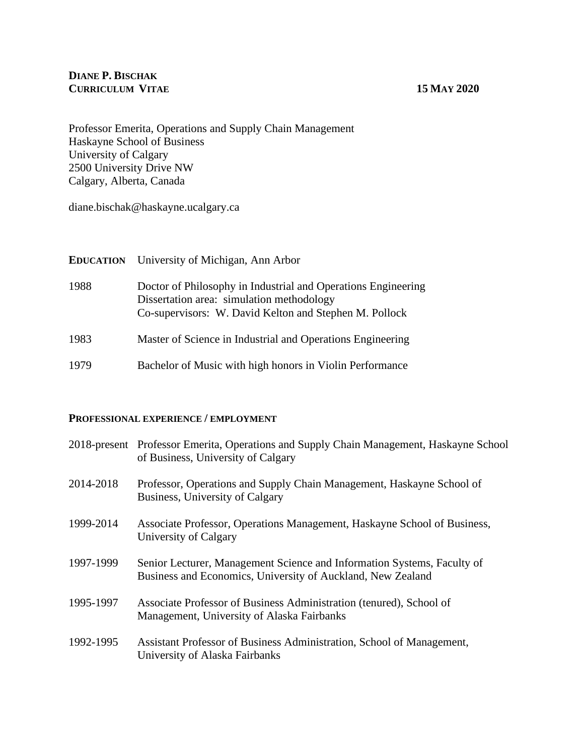# **DIANE P. BISCHAK CURRICULUM VITAE 15 MAY 2020**

Professor Emerita, Operations and Supply Chain Management Haskayne School of Business University of Calgary 2500 University Drive NW Calgary, Alberta, Canada

diane.bischak@haskayne.ucalgary.ca

| <b>EDUCATION</b> | University of Michigan, Ann Arbor                                                                                                                                    |
|------------------|----------------------------------------------------------------------------------------------------------------------------------------------------------------------|
| 1988             | Doctor of Philosophy in Industrial and Operations Engineering<br>Dissertation area: simulation methodology<br>Co-supervisors: W. David Kelton and Stephen M. Pollock |
| 1983             | Master of Science in Industrial and Operations Engineering                                                                                                           |
| 1979             | Bachelor of Music with high honors in Violin Performance                                                                                                             |

# **PROFESSIONAL EXPERIENCE / EMPLOYMENT**

|           | 2018-present Professor Emerita, Operations and Supply Chain Management, Haskayne School<br>of Business, University of Calgary          |
|-----------|----------------------------------------------------------------------------------------------------------------------------------------|
| 2014-2018 | Professor, Operations and Supply Chain Management, Haskayne School of<br>Business, University of Calgary                               |
| 1999-2014 | Associate Professor, Operations Management, Haskayne School of Business,<br>University of Calgary                                      |
| 1997-1999 | Senior Lecturer, Management Science and Information Systems, Faculty of<br>Business and Economics, University of Auckland, New Zealand |
| 1995-1997 | Associate Professor of Business Administration (tenured), School of<br>Management, University of Alaska Fairbanks                      |
| 1992-1995 | Assistant Professor of Business Administration, School of Management,<br>University of Alaska Fairbanks                                |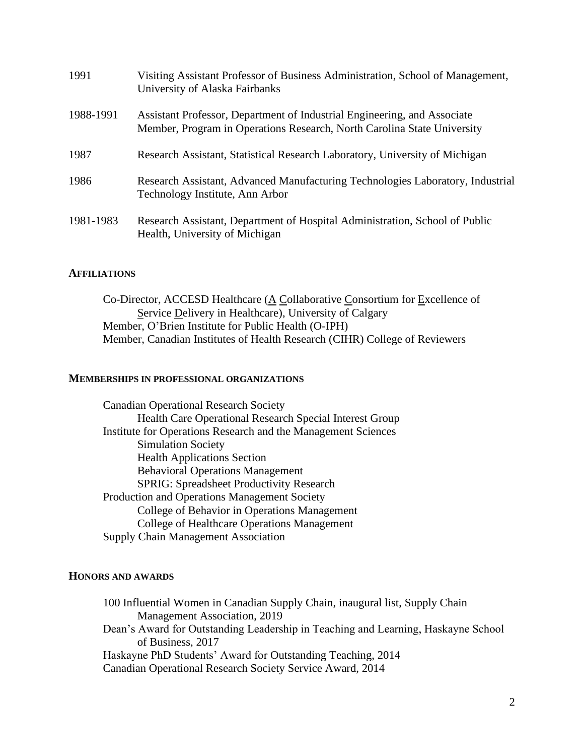| 1991      | Visiting Assistant Professor of Business Administration, School of Management,<br>University of Alaska Fairbanks                                    |
|-----------|-----------------------------------------------------------------------------------------------------------------------------------------------------|
| 1988-1991 | Assistant Professor, Department of Industrial Engineering, and Associate<br>Member, Program in Operations Research, North Carolina State University |
| 1987      | Research Assistant, Statistical Research Laboratory, University of Michigan                                                                         |
| 1986      | Research Assistant, Advanced Manufacturing Technologies Laboratory, Industrial<br>Technology Institute, Ann Arbor                                   |
| 1981-1983 | Research Assistant, Department of Hospital Administration, School of Public<br>Health, University of Michigan                                       |

# **AFFILIATIONS**

Co-Director, ACCESD Healthcare (A Collaborative Consortium for Excellence of Service Delivery in Healthcare), University of Calgary Member, O'Brien Institute for Public Health (O-IPH) Member, Canadian Institutes of Health Research (CIHR) College of Reviewers

# **MEMBERSHIPS IN PROFESSIONAL ORGANIZATIONS**

Canadian Operational Research Society Health Care Operational Research Special Interest Group Institute for Operations Research and the Management Sciences Simulation Society Health Applications Section Behavioral Operations Management SPRIG: Spreadsheet Productivity Research Production and Operations Management Society College of Behavior in Operations Management College of Healthcare Operations Management Supply Chain Management Association

## **HONORS AND AWARDS**

100 Influential Women in Canadian Supply Chain, inaugural list, Supply Chain Management Association, 2019 Dean's Award for Outstanding Leadership in Teaching and Learning, Haskayne School of Business, 2017 Haskayne PhD Students' Award for Outstanding Teaching, 2014 Canadian Operational Research Society Service Award, 2014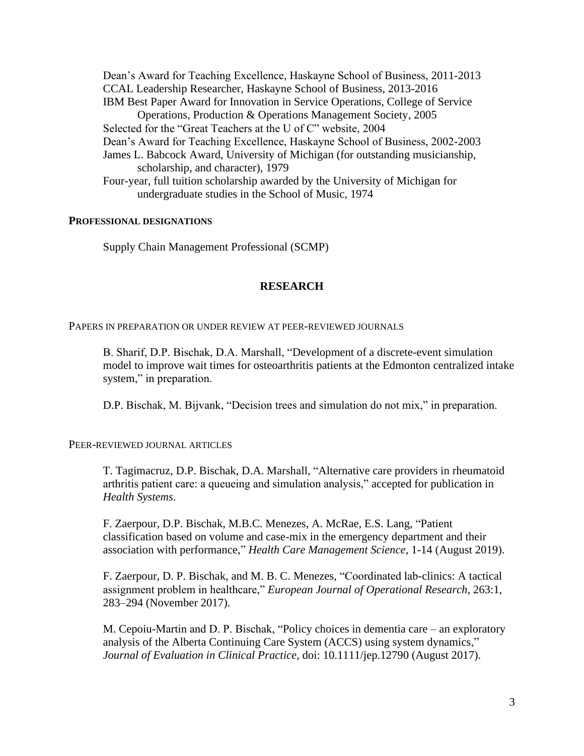Dean's Award for Teaching Excellence, Haskayne School of Business, 2011-2013 CCAL Leadership Researcher, Haskayne School of Business, 2013-2016 IBM Best Paper Award for Innovation in Service Operations, College of Service Operations, Production & Operations Management Society, 2005 Selected for the "Great Teachers at the U of C" website, 2004 Dean's Award for Teaching Excellence, Haskayne School of Business, 2002-2003 James L. Babcock Award, University of Michigan (for outstanding musicianship, scholarship, and character), 1979 Four-year, full tuition scholarship awarded by the University of Michigan for undergraduate studies in the School of Music, 1974

# **PROFESSIONAL DESIGNATIONS**

Supply Chain Management Professional (SCMP)

# **RESEARCH**

PAPERS IN PREPARATION OR UNDER REVIEW AT PEER-REVIEWED JOURNALS

B. Sharif, D.P. Bischak, D.A. Marshall, "Development of a discrete-event simulation model to improve wait times for osteoarthritis patients at the Edmonton centralized intake system," in preparation.

D.P. Bischak, M. Bijvank, "Decision trees and simulation do not mix," in preparation.

PEER-REVIEWED JOURNAL ARTICLES

T. Tagimacruz, D.P. Bischak, D.A. Marshall, "Alternative care providers in rheumatoid arthritis patient care: a queueing and simulation analysis," accepted for publication in *Health Systems*.

F. Zaerpour, D.P. Bischak, M.B.C. Menezes, A. McRae, E.S. Lang, "Patient classification based on volume and case-mix in the emergency department and their association with performance," *Health Care Management Science*, 1-14 (August 2019).

F. Zaerpour, D. P. Bischak, and M. B. C. Menezes, "Coordinated lab-clinics: A tactical assignment problem in healthcare," *European Journal of Operational Research*, 263:1, 283–294 (November 2017).

M. Cepoiu-Martin and D. P. Bischak, "Policy choices in dementia care – an exploratory analysis of the Alberta Continuing Care System (ACCS) using system dynamics," *Journal of Evaluation in Clinical Practice,* doi: 10.1111/jep.12790 (August 2017).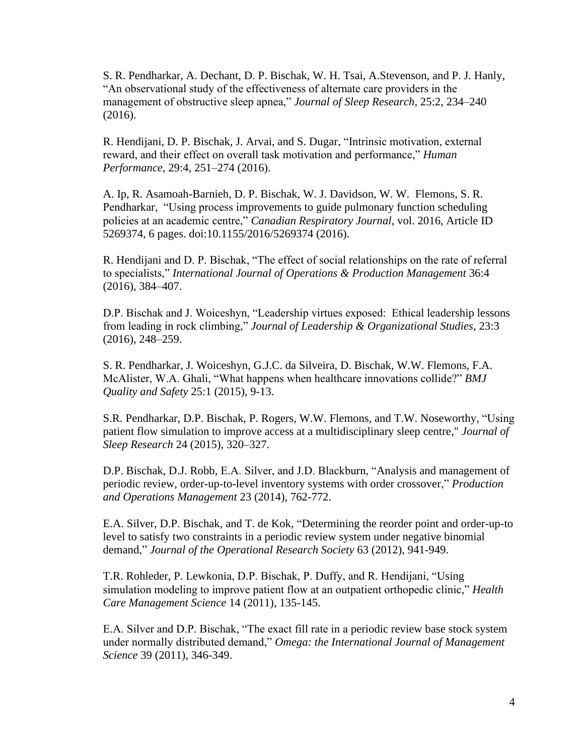S. R. Pendharkar, A. Dechant, D. P. Bischak, W. H. Tsai, A.Stevenson, and P. J. Hanly, "An observational study of the effectiveness of alternate care providers in the management of obstructive sleep apnea," *Journal of Sleep Research,* 25:2, 234–240 (2016).

R. Hendijani, D. P. Bischak, J. Arvai, and S. Dugar, "Intrinsic motivation, external reward, and their effect on overall task motivation and performance," *Human Performance,* 29:4, 251–274 (2016).

A. Ip, R. Asamoah-Barnieh, D. P. Bischak, W. J. Davidson, W. W. Flemons, S. R. Pendharkar, "Using process improvements to guide pulmonary function scheduling policies at an academic centre," *Canadian Respiratory Journal*, vol. 2016, Article ID 5269374, 6 pages. doi:10.1155/2016/5269374 (2016).

R. Hendijani and D. P. Bischak, "The effect of social relationships on the rate of referral to specialists," *International Journal of Operations & Production Management* 36:4 (2016), 384–407.

D.P. Bischak and J. Woiceshyn, "Leadership virtues exposed: Ethical leadership lessons from leading in rock climbing," *Journal of Leadership & Organizational Studies*, 23:3 (2016), 248–259.

S. R. Pendharkar, J. Woiceshyn, G.J.C. da Silveira, D. Bischak, W.W. Flemons, F.A. McAlister, W.A. Ghali, "What happens when healthcare innovations collide?" *BMJ Quality and Safety* 25:1 (2015), 9-13.

S.R. Pendharkar, D.P. Bischak, P. Rogers, W.W. Flemons, and T.W. Noseworthy, "Using patient flow simulation to improve access at a multidisciplinary sleep centre," *Journal of Sleep Research* 24 (2015), 320–327.

D.P. Bischak, D.J. Robb, E.A. Silver, and J.D. Blackburn, "Analysis and management of periodic review, order-up-to-level inventory systems with order crossover," *Production and Operations Management* 23 (2014)*,* 762-772.

E.A. Silver, D.P. Bischak, and T. de Kok, "Determining the reorder point and order-up-to level to satisfy two constraints in a periodic review system under negative binomial demand," *Journal of the Operational Research Society* 63 (2012), 941-949.

T.R. Rohleder, P. Lewkonia, D.P. Bischak, P. Duffy, and R. Hendijani, "Using simulation modeling to improve patient flow at an outpatient orthopedic clinic," *Health Care Management Science* 14 (2011), 135-145.

E.A. Silver and D.P. Bischak, "The exact fill rate in a periodic review base stock system under normally distributed demand," *Omega: the International Journal of Management Science* 39 (2011), 346-349.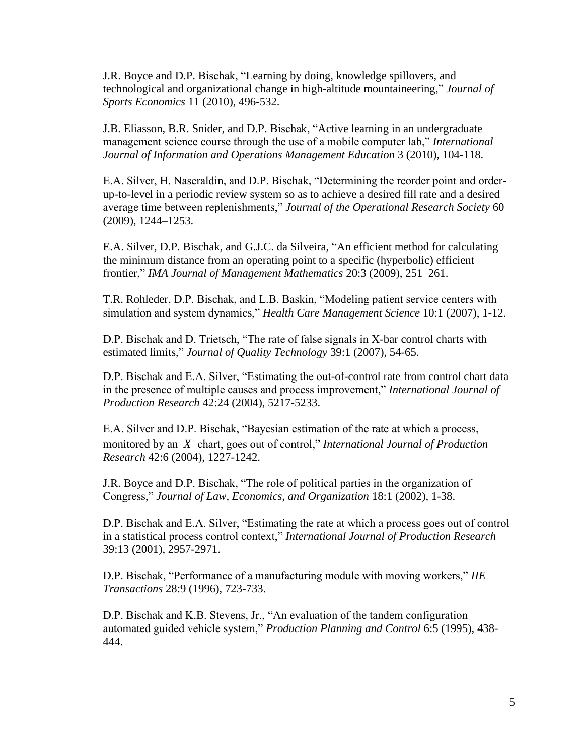J.R. Boyce and D.P. Bischak, "Learning by doing, knowledge spillovers, and technological and organizational change in high-altitude mountaineering," *Journal of Sports Economics* 11 (2010), 496-532.

J.B. Eliasson, B.R. Snider, and D.P. Bischak, "Active learning in an undergraduate management science course through the use of a mobile computer lab," *International Journal of Information and Operations Management Education* 3 (2010), 104-118.

E.A. Silver, H. Naseraldin, and D.P. Bischak, "Determining the reorder point and orderup-to-level in a periodic review system so as to achieve a desired fill rate and a desired average time between replenishments," *Journal of the Operational Research Society* 60 (2009), 1244–1253.

E.A. Silver, D.P. Bischak, and G.J.C. da Silveira, "An efficient method for calculating the minimum distance from an operating point to a specific (hyperbolic) efficient frontier," *IMA Journal of Management Mathematics* 20:3 (2009), 251–261.

T.R. Rohleder, D.P. Bischak, and L.B. Baskin, "Modeling patient service centers with simulation and system dynamics," *Health Care Management Science* 10:1 (2007), 1-12.

D.P. Bischak and D. Trietsch, "The rate of false signals in X-bar control charts with estimated limits," *Journal of Quality Technology* 39:1 (2007), 54-65.

D.P. Bischak and E.A. Silver, "Estimating the out-of-control rate from control chart data in the presence of multiple causes and process improvement," *International Journal of Production Research* 42:24 (2004), 5217-5233.

E.A. Silver and D.P. Bischak, "Bayesian estimation of the rate at which a process, monitored by an  $\overline{X}$  chart, goes out of control," *International Journal of Production Research* 42:6 (2004), 1227-1242.

J.R. Boyce and D.P. Bischak, "The role of political parties in the organization of Congress," *Journal of Law, Economics, and Organization* 18:1 (2002), 1-38.

D.P. Bischak and E.A. Silver, "Estimating the rate at which a process goes out of control in a statistical process control context," *International Journal of Production Research* 39:13 (2001), 2957-2971.

D.P. Bischak, "Performance of a manufacturing module with moving workers," *IIE Transactions* 28:9 (1996), 723-733.

D.P. Bischak and K.B. Stevens, Jr., "An evaluation of the tandem configuration automated guided vehicle system," *Production Planning and Control* 6:5 (1995), 438- 444.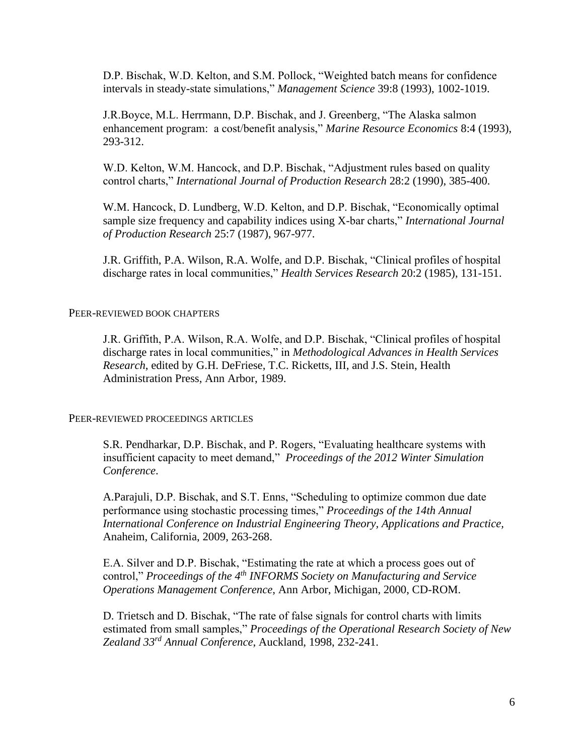D.P. Bischak, W.D. Kelton, and S.M. Pollock, "Weighted batch means for confidence intervals in steady-state simulations," *Management Science* 39:8 (1993), 1002-1019.

J.R.Boyce, M.L. Herrmann, D.P. Bischak, and J. Greenberg, "The Alaska salmon enhancement program: a cost/benefit analysis," *Marine Resource Economics* 8:4 (1993), 293-312.

W.D. Kelton, W.M. Hancock, and D.P. Bischak, "Adjustment rules based on quality control charts," *International Journal of Production Research* 28:2 (1990), 385-400.

W.M. Hancock, D. Lundberg, W.D. Kelton, and D.P. Bischak, "Economically optimal sample size frequency and capability indices using X-bar charts," *International Journal of Production Research* 25:7 (1987), 967-977.

J.R. Griffith, P.A. Wilson, R.A. Wolfe, and D.P. Bischak, "Clinical profiles of hospital discharge rates in local communities," *Health Services Research* 20:2 (1985), 131-151.

## PEER-REVIEWED BOOK CHAPTERS

J.R. Griffith, P.A. Wilson, R.A. Wolfe, and D.P. Bischak, "Clinical profiles of hospital discharge rates in local communities," in *Methodological Advances in Health Services Research*, edited by G.H. DeFriese, T.C. Ricketts, III, and J.S. Stein, Health Administration Press, Ann Arbor, 1989.

PEER-REVIEWED PROCEEDINGS ARTICLES

S.R. Pendharkar, D.P. Bischak, and P. Rogers, "Evaluating healthcare systems with insufficient capacity to meet demand," *Proceedings of the 2012 Winter Simulation Conference*.

A.Parajuli, D.P. Bischak, and S.T. Enns, "Scheduling to optimize common due date performance using stochastic processing times," *Proceedings of the 14th Annual International Conference on Industrial Engineering Theory, Applications and Practice,* Anaheim, California, 2009, 263-268.

E.A. Silver and D.P. Bischak, "Estimating the rate at which a process goes out of control," *Proceedings of the 4th INFORMS Society on Manufacturing and Service Operations Management Conference*, Ann Arbor, Michigan, 2000, CD-ROM.

D. Trietsch and D. Bischak, "The rate of false signals for control charts with limits estimated from small samples," *Proceedings of the Operational Research Society of New Zealand 33rd Annual Conference*, Auckland, 1998, 232-241.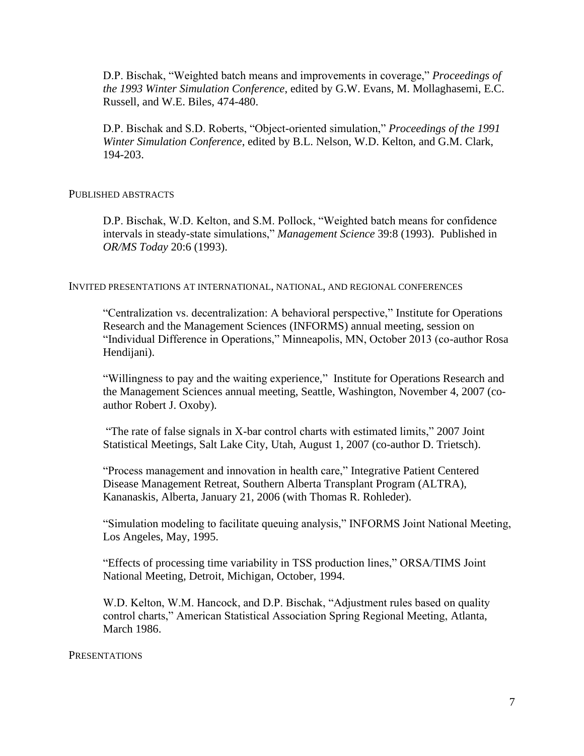D.P. Bischak, "Weighted batch means and improvements in coverage," *Proceedings of the 1993 Winter Simulation Conference*, edited by G.W. Evans, M. Mollaghasemi, E.C. Russell, and W.E. Biles, 474-480.

D.P. Bischak and S.D. Roberts, "Object-oriented simulation," *Proceedings of the 1991 Winter Simulation Conference*, edited by B.L. Nelson, W.D. Kelton, and G.M. Clark, 194-203.

## PUBLISHED ABSTRACTS

D.P. Bischak, W.D. Kelton, and S.M. Pollock, "Weighted batch means for confidence intervals in steady-state simulations," *Management Science* 39:8 (1993). Published in *OR/MS Today* 20:6 (1993).

INVITED PRESENTATIONS AT INTERNATIONAL, NATIONAL, AND REGIONAL CONFERENCES

"Centralization vs. decentralization: A behavioral perspective," Institute for Operations Research and the Management Sciences (INFORMS) annual meeting, session on "Individual Difference in Operations," Minneapolis, MN, October 2013 (co-author Rosa Hendijani).

"Willingness to pay and the waiting experience," Institute for Operations Research and the Management Sciences annual meeting, Seattle, Washington, November 4, 2007 (coauthor Robert J. Oxoby).

"The rate of false signals in X-bar control charts with estimated limits," 2007 Joint Statistical Meetings, Salt Lake City, Utah, August 1, 2007 (co-author D. Trietsch).

"Process management and innovation in health care," Integrative Patient Centered Disease Management Retreat, Southern Alberta Transplant Program (ALTRA), Kananaskis, Alberta, January 21, 2006 (with Thomas R. Rohleder).

"Simulation modeling to facilitate queuing analysis," INFORMS Joint National Meeting, Los Angeles, May, 1995.

"Effects of processing time variability in TSS production lines," ORSA/TIMS Joint National Meeting, Detroit, Michigan, October, 1994.

W.D. Kelton, W.M. Hancock, and D.P. Bischak, "Adjustment rules based on quality control charts," American Statistical Association Spring Regional Meeting, Atlanta, March 1986.

## **PRESENTATIONS**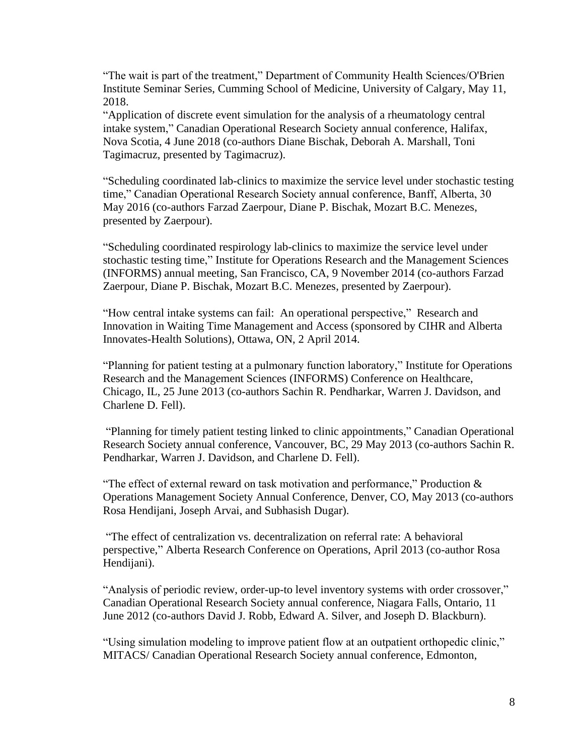"The wait is part of the treatment," Department of Community Health Sciences/O'Brien Institute Seminar Series, Cumming School of Medicine, University of Calgary, May 11, 2018.

"Application of discrete event simulation for the analysis of a rheumatology central intake system," Canadian Operational Research Society annual conference, Halifax, Nova Scotia, 4 June 2018 (co-authors Diane Bischak, Deborah A. Marshall, Toni Tagimacruz, presented by Tagimacruz).

"Scheduling coordinated lab-clinics to maximize the service level under stochastic testing time," Canadian Operational Research Society annual conference, Banff, Alberta, 30 May 2016 (co-authors Farzad Zaerpour, Diane P. Bischak, Mozart B.C. Menezes, presented by Zaerpour).

"Scheduling coordinated respirology lab-clinics to maximize the service level under stochastic testing time," Institute for Operations Research and the Management Sciences (INFORMS) annual meeting, San Francisco, CA, 9 November 2014 (co-authors Farzad Zaerpour, Diane P. Bischak, Mozart B.C. Menezes, presented by Zaerpour).

"How central intake systems can fail: An operational perspective," Research and Innovation in Waiting Time Management and Access (sponsored by CIHR and Alberta Innovates-Health Solutions), Ottawa, ON, 2 April 2014.

"Planning for patient testing at a pulmonary function laboratory," Institute for Operations Research and the Management Sciences (INFORMS) Conference on Healthcare, Chicago, IL, 25 June 2013 (co-authors Sachin R. Pendharkar, Warren J. Davidson, and Charlene D. Fell).

"Planning for timely patient testing linked to clinic appointments," Canadian Operational Research Society annual conference, Vancouver, BC, 29 May 2013 (co-authors Sachin R. Pendharkar, Warren J. Davidson, and Charlene D. Fell).

"The effect of external reward on task motivation and performance," Production  $\&$ Operations Management Society Annual Conference, Denver, CO, May 2013 (co-authors Rosa Hendijani, Joseph Arvai, and Subhasish Dugar).

"The effect of centralization vs. decentralization on referral rate: A behavioral perspective," Alberta Research Conference on Operations, April 2013 (co-author Rosa Hendijani).

"Analysis of periodic review, order-up-to level inventory systems with order crossover," Canadian Operational Research Society annual conference, Niagara Falls, Ontario, 11 June 2012 (co-authors David J. Robb, Edward A. Silver, and Joseph D. Blackburn).

"Using simulation modeling to improve patient flow at an outpatient orthopedic clinic," MITACS/ Canadian Operational Research Society annual conference, Edmonton,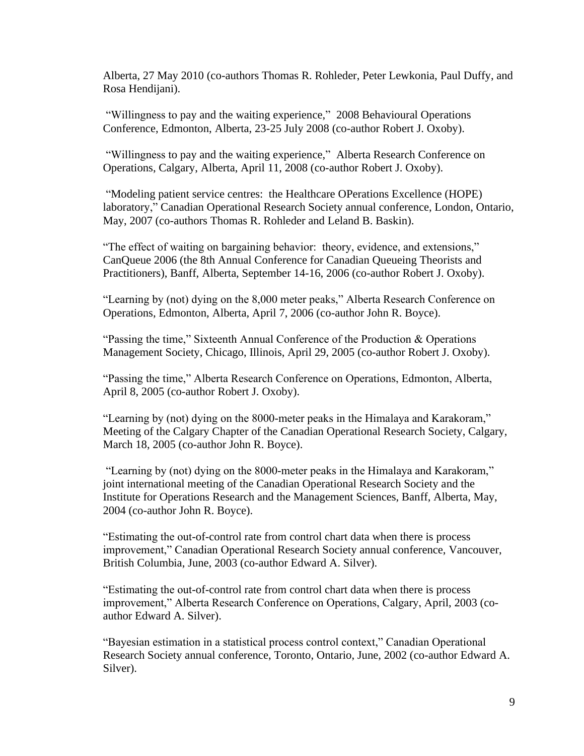Alberta, 27 May 2010 (co-authors Thomas R. Rohleder, Peter Lewkonia, Paul Duffy, and Rosa Hendijani).

"Willingness to pay and the waiting experience," 2008 Behavioural Operations Conference, Edmonton, Alberta, 23-25 July 2008 (co-author Robert J. Oxoby).

"Willingness to pay and the waiting experience," Alberta Research Conference on Operations, Calgary, Alberta, April 11, 2008 (co-author Robert J. Oxoby).

"Modeling patient service centres: the Healthcare OPerations Excellence (HOPE) laboratory," Canadian Operational Research Society annual conference, London, Ontario, May, 2007 (co-authors Thomas R. Rohleder and Leland B. Baskin).

"The effect of waiting on bargaining behavior: theory, evidence, and extensions," CanQueue 2006 (the 8th Annual Conference for Canadian Queueing Theorists and Practitioners), Banff, Alberta, September 14-16, 2006 (co-author Robert J. Oxoby).

"Learning by (not) dying on the 8,000 meter peaks," Alberta Research Conference on Operations, Edmonton, Alberta, April 7, 2006 (co-author John R. Boyce).

"Passing the time," Sixteenth Annual Conference of the Production & Operations Management Society, Chicago, Illinois, April 29, 2005 (co-author Robert J. Oxoby).

"Passing the time," Alberta Research Conference on Operations, Edmonton, Alberta, April 8, 2005 (co-author Robert J. Oxoby).

"Learning by (not) dying on the 8000-meter peaks in the Himalaya and Karakoram," Meeting of the Calgary Chapter of the Canadian Operational Research Society, Calgary, March 18, 2005 (co-author John R. Boyce).

"Learning by (not) dying on the 8000-meter peaks in the Himalaya and Karakoram," joint international meeting of the Canadian Operational Research Society and the Institute for Operations Research and the Management Sciences, Banff, Alberta, May, 2004 (co-author John R. Boyce).

"Estimating the out-of-control rate from control chart data when there is process improvement," Canadian Operational Research Society annual conference, Vancouver, British Columbia, June, 2003 (co-author Edward A. Silver).

"Estimating the out-of-control rate from control chart data when there is process improvement," Alberta Research Conference on Operations, Calgary, April, 2003 (coauthor Edward A. Silver).

"Bayesian estimation in a statistical process control context," Canadian Operational Research Society annual conference, Toronto, Ontario, June, 2002 (co-author Edward A. Silver).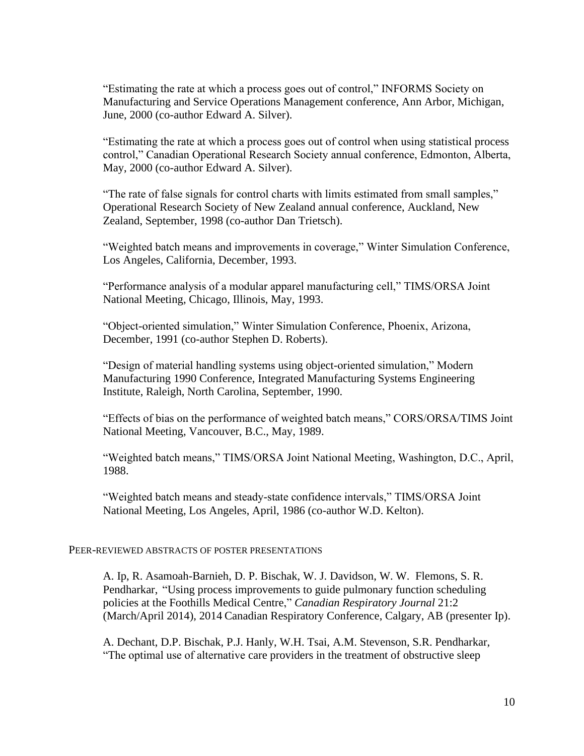"Estimating the rate at which a process goes out of control," INFORMS Society on Manufacturing and Service Operations Management conference, Ann Arbor, Michigan, June, 2000 (co-author Edward A. Silver).

"Estimating the rate at which a process goes out of control when using statistical process control," Canadian Operational Research Society annual conference, Edmonton, Alberta, May, 2000 (co-author Edward A. Silver).

"The rate of false signals for control charts with limits estimated from small samples," Operational Research Society of New Zealand annual conference, Auckland, New Zealand, September, 1998 (co-author Dan Trietsch).

"Weighted batch means and improvements in coverage," Winter Simulation Conference, Los Angeles, California, December, 1993.

"Performance analysis of a modular apparel manufacturing cell," TIMS/ORSA Joint National Meeting, Chicago, Illinois, May, 1993.

"Object-oriented simulation," Winter Simulation Conference, Phoenix, Arizona, December, 1991 (co-author Stephen D. Roberts).

"Design of material handling systems using object-oriented simulation," Modern Manufacturing 1990 Conference, Integrated Manufacturing Systems Engineering Institute, Raleigh, North Carolina, September, 1990.

"Effects of bias on the performance of weighted batch means," CORS/ORSA/TIMS Joint National Meeting, Vancouver, B.C., May, 1989.

"Weighted batch means," TIMS/ORSA Joint National Meeting, Washington, D.C., April, 1988.

"Weighted batch means and steady-state confidence intervals," TIMS/ORSA Joint National Meeting, Los Angeles, April, 1986 (co-author W.D. Kelton).

## PEER-REVIEWED ABSTRACTS OF POSTER PRESENTATIONS

A. Ip, R. Asamoah-Barnieh, D. P. Bischak, W. J. Davidson, W. W. Flemons, S. R. Pendharkar, "Using process improvements to guide pulmonary function scheduling policies at the Foothills Medical Centre," *Canadian Respiratory Journal* 21:2 (March/April 2014), 2014 Canadian Respiratory Conference, Calgary, AB (presenter Ip).

A. Dechant, D.P. Bischak, P.J. Hanly, W.H. Tsai, A.M. Stevenson, S.R. Pendharkar, "The optimal use of alternative care providers in the treatment of obstructive sleep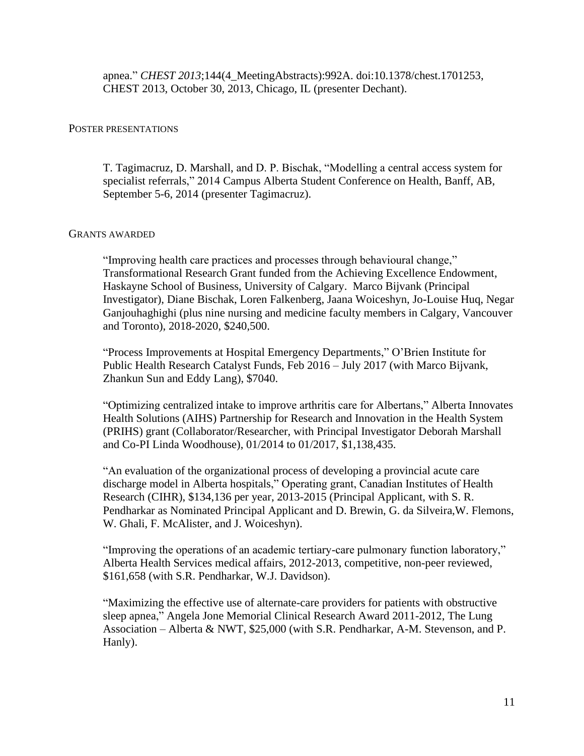apnea." *CHEST 2013*;144(4\_MeetingAbstracts):992A. doi:10.1378/chest.1701253, CHEST 2013, October 30, 2013, Chicago, IL (presenter Dechant).

## POSTER PRESENTATIONS

T. Tagimacruz, D. Marshall, and D. P. Bischak, "Modelling a central access system for specialist referrals," 2014 Campus Alberta Student Conference on Health, Banff, AB, September 5-6, 2014 (presenter Tagimacruz).

## GRANTS AWARDED

"Improving health care practices and processes through behavioural change," Transformational Research Grant funded from the Achieving Excellence Endowment, Haskayne School of Business, University of Calgary. Marco Bijvank (Principal Investigator), Diane Bischak, Loren Falkenberg, Jaana Woiceshyn, Jo-Louise Huq, Negar Ganjouhaghighi (plus nine nursing and medicine faculty members in Calgary, Vancouver and Toronto), 2018-2020, \$240,500.

"Process Improvements at Hospital Emergency Departments," O'Brien Institute for Public Health Research Catalyst Funds, Feb 2016 – July 2017 (with Marco Bijvank, Zhankun Sun and Eddy Lang), \$7040.

"Optimizing centralized intake to improve arthritis care for Albertans," Alberta Innovates Health Solutions (AIHS) Partnership for Research and Innovation in the Health System (PRIHS) grant (Collaborator/Researcher, with Principal Investigator Deborah Marshall and Co-PI Linda Woodhouse), 01/2014 to 01/2017, \$1,138,435.

"An evaluation of the organizational process of developing a provincial acute care discharge model in Alberta hospitals," Operating grant, Canadian Institutes of Health Research (CIHR), \$134,136 per year, 2013-2015 (Principal Applicant, with S. R. Pendharkar as Nominated Principal Applicant and D. Brewin, G. da Silveira,W. Flemons, W. Ghali, F. McAlister, and J. Woiceshyn).

"Improving the operations of an academic tertiary-care pulmonary function laboratory," Alberta Health Services medical affairs, 2012-2013, competitive, non-peer reviewed, \$161,658 (with S.R. Pendharkar, W.J. Davidson).

"Maximizing the effective use of alternate-care providers for patients with obstructive sleep apnea," Angela Jone Memorial Clinical Research Award 2011-2012, The Lung Association – Alberta & NWT, \$25,000 (with S.R. Pendharkar, A-M. Stevenson, and P. Hanly).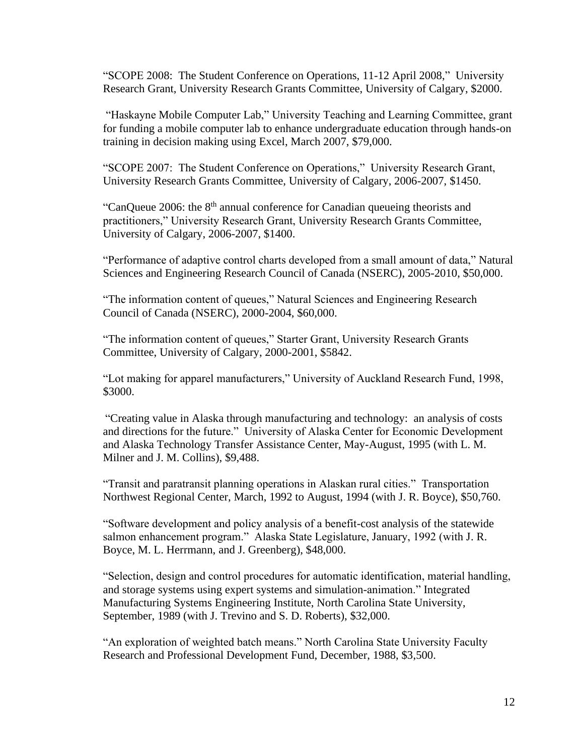"SCOPE 2008: The Student Conference on Operations, 11-12 April 2008," University Research Grant, University Research Grants Committee, University of Calgary, \$2000.

"Haskayne Mobile Computer Lab," University Teaching and Learning Committee, grant for funding a mobile computer lab to enhance undergraduate education through hands-on training in decision making using Excel, March 2007, \$79,000.

"SCOPE 2007: The Student Conference on Operations," University Research Grant, University Research Grants Committee, University of Calgary, 2006-2007, \$1450.

"CanQueue 2006: the 8<sup>th</sup> annual conference for Canadian queueing theorists and practitioners," University Research Grant, University Research Grants Committee, University of Calgary, 2006-2007, \$1400.

"Performance of adaptive control charts developed from a small amount of data," Natural Sciences and Engineering Research Council of Canada (NSERC), 2005-2010, \$50,000.

"The information content of queues," Natural Sciences and Engineering Research Council of Canada (NSERC), 2000-2004, \$60,000.

"The information content of queues," Starter Grant, University Research Grants Committee, University of Calgary, 2000-2001, \$5842.

"Lot making for apparel manufacturers," University of Auckland Research Fund, 1998, \$3000.

"Creating value in Alaska through manufacturing and technology: an analysis of costs and directions for the future." University of Alaska Center for Economic Development and Alaska Technology Transfer Assistance Center, May-August, 1995 (with L. M. Milner and J. M. Collins), \$9,488.

"Transit and paratransit planning operations in Alaskan rural cities." Transportation Northwest Regional Center, March, 1992 to August, 1994 (with J. R. Boyce), \$50,760.

"Software development and policy analysis of a benefit-cost analysis of the statewide salmon enhancement program." Alaska State Legislature, January, 1992 (with J. R. Boyce, M. L. Herrmann, and J. Greenberg), \$48,000.

"Selection, design and control procedures for automatic identification, material handling, and storage systems using expert systems and simulation-animation." Integrated Manufacturing Systems Engineering Institute, North Carolina State University, September, 1989 (with J. Trevino and S. D. Roberts), \$32,000.

"An exploration of weighted batch means." North Carolina State University Faculty Research and Professional Development Fund, December, 1988, \$3,500.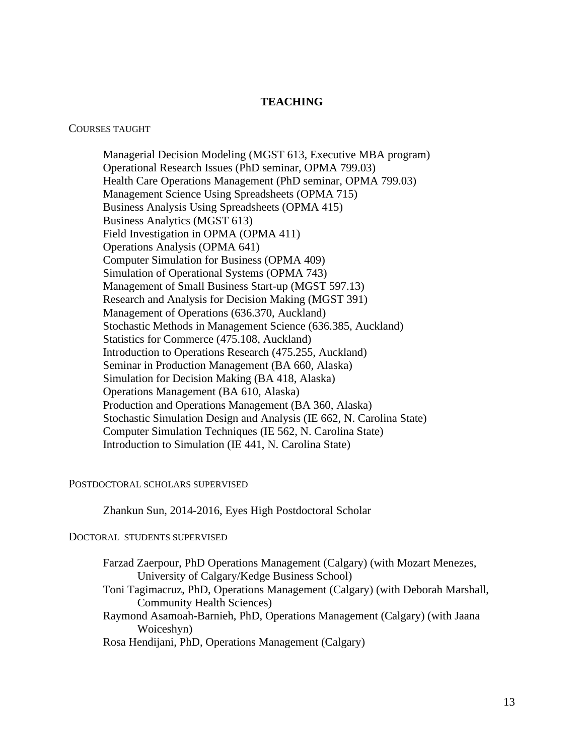# **TEACHING**

#### COURSES TAUGHT

Managerial Decision Modeling (MGST 613, Executive MBA program) Operational Research Issues (PhD seminar, OPMA 799.03) Health Care Operations Management (PhD seminar, OPMA 799.03) Management Science Using Spreadsheets (OPMA 715) Business Analysis Using Spreadsheets (OPMA 415) Business Analytics (MGST 613) Field Investigation in OPMA (OPMA 411) Operations Analysis (OPMA 641) Computer Simulation for Business (OPMA 409) Simulation of Operational Systems (OPMA 743) Management of Small Business Start-up (MGST 597.13) Research and Analysis for Decision Making (MGST 391) Management of Operations (636.370, Auckland) Stochastic Methods in Management Science (636.385, Auckland) Statistics for Commerce (475.108, Auckland) Introduction to Operations Research (475.255, Auckland) Seminar in Production Management (BA 660, Alaska) Simulation for Decision Making (BA 418, Alaska) Operations Management (BA 610, Alaska) Production and Operations Management (BA 360, Alaska) Stochastic Simulation Design and Analysis (IE 662, N. Carolina State) Computer Simulation Techniques (IE 562, N. Carolina State) Introduction to Simulation (IE 441, N. Carolina State)

#### POSTDOCTORAL SCHOLARS SUPERVISED

Zhankun Sun, 2014-2016, Eyes High Postdoctoral Scholar

## DOCTORAL STUDENTS SUPERVISED

Farzad Zaerpour, PhD Operations Management (Calgary) (with Mozart Menezes, University of Calgary/Kedge Business School) Toni Tagimacruz, PhD, Operations Management (Calgary) (with Deborah Marshall, Community Health Sciences) Raymond Asamoah-Barnieh, PhD, Operations Management (Calgary) (with Jaana Woiceshyn) Rosa Hendijani, PhD, Operations Management (Calgary)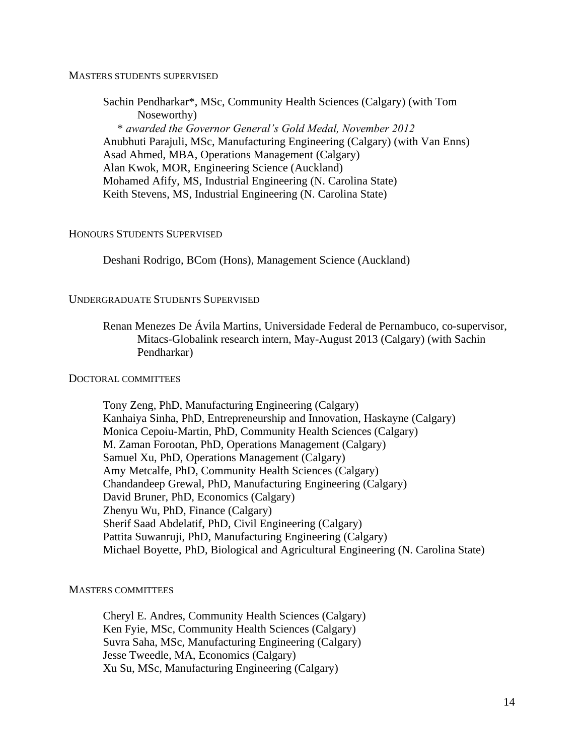## MASTERS STUDENTS SUPERVISED

Sachin Pendharkar\*, MSc, Community Health Sciences (Calgary) (with Tom Noseworthy) \* *awarded the Governor General's Gold Medal, November 2012* Anubhuti Parajuli, MSc, Manufacturing Engineering (Calgary) (with Van Enns) Asad Ahmed, MBA, Operations Management (Calgary) Alan Kwok, MOR, Engineering Science (Auckland) Mohamed Afify, MS, Industrial Engineering (N. Carolina State) Keith Stevens, MS, Industrial Engineering (N. Carolina State)

## HONOURS STUDENTS SUPERVISED

Deshani Rodrigo, BCom (Hons), Management Science (Auckland)

## UNDERGRADUATE STUDENTS SUPERVISED

Renan Menezes De Ávila Martins, Universidade Federal de Pernambuco, co-supervisor, Mitacs-Globalink research intern, May-August 2013 (Calgary) (with Sachin Pendharkar)

# DOCTORAL COMMITTEES

Tony Zeng, PhD, Manufacturing Engineering (Calgary) Kanhaiya Sinha, PhD, Entrepreneurship and Innovation, Haskayne (Calgary) Monica Cepoiu-Martin, PhD, Community Health Sciences (Calgary) M. Zaman Forootan, PhD, Operations Management (Calgary) Samuel Xu, PhD, Operations Management (Calgary) Amy Metcalfe, PhD, Community Health Sciences (Calgary) Chandandeep Grewal, PhD, Manufacturing Engineering (Calgary) David Bruner, PhD, Economics (Calgary) Zhenyu Wu, PhD, Finance (Calgary) Sherif Saad Abdelatif, PhD, Civil Engineering (Calgary) Pattita Suwanruji, PhD, Manufacturing Engineering (Calgary) Michael Boyette, PhD, Biological and Agricultural Engineering (N. Carolina State)

## MASTERS COMMITTEES

Cheryl E. Andres, Community Health Sciences (Calgary) Ken Fyie, MSc, Community Health Sciences (Calgary) Suvra Saha, MSc, Manufacturing Engineering (Calgary) Jesse Tweedle, MA, Economics (Calgary) Xu Su, MSc, Manufacturing Engineering (Calgary)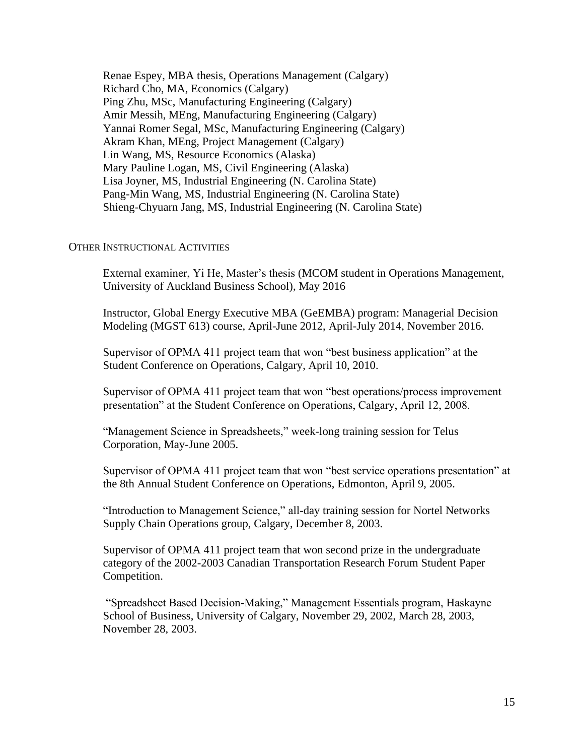Renae Espey, MBA thesis, Operations Management (Calgary) Richard Cho, MA, Economics (Calgary) Ping Zhu, MSc, Manufacturing Engineering (Calgary) Amir Messih, MEng, Manufacturing Engineering (Calgary) Yannai Romer Segal, MSc, Manufacturing Engineering (Calgary) Akram Khan, MEng, Project Management (Calgary) Lin Wang, MS, Resource Economics (Alaska) Mary Pauline Logan, MS, Civil Engineering (Alaska) Lisa Joyner, MS, Industrial Engineering (N. Carolina State) Pang-Min Wang, MS, Industrial Engineering (N. Carolina State) Shieng-Chyuarn Jang, MS, Industrial Engineering (N. Carolina State)

# OTHER INSTRUCTIONAL ACTIVITIES

External examiner, Yi He, Master's thesis (MCOM student in Operations Management, University of Auckland Business School), May 2016

Instructor, Global Energy Executive MBA (GeEMBA) program: Managerial Decision Modeling (MGST 613) course, April-June 2012, April-July 2014, November 2016.

Supervisor of OPMA 411 project team that won "best business application" at the Student Conference on Operations, Calgary, April 10, 2010.

Supervisor of OPMA 411 project team that won "best operations/process improvement presentation" at the Student Conference on Operations, Calgary, April 12, 2008.

"Management Science in Spreadsheets," week-long training session for Telus Corporation, May-June 2005.

Supervisor of OPMA 411 project team that won "best service operations presentation" at the 8th Annual Student Conference on Operations, Edmonton, April 9, 2005.

"Introduction to Management Science," all-day training session for Nortel Networks Supply Chain Operations group, Calgary, December 8, 2003.

Supervisor of OPMA 411 project team that won second prize in the undergraduate category of the 2002-2003 Canadian Transportation Research Forum Student Paper Competition.

"Spreadsheet Based Decision-Making," Management Essentials program, Haskayne School of Business, University of Calgary, November 29, 2002, March 28, 2003, November 28, 2003.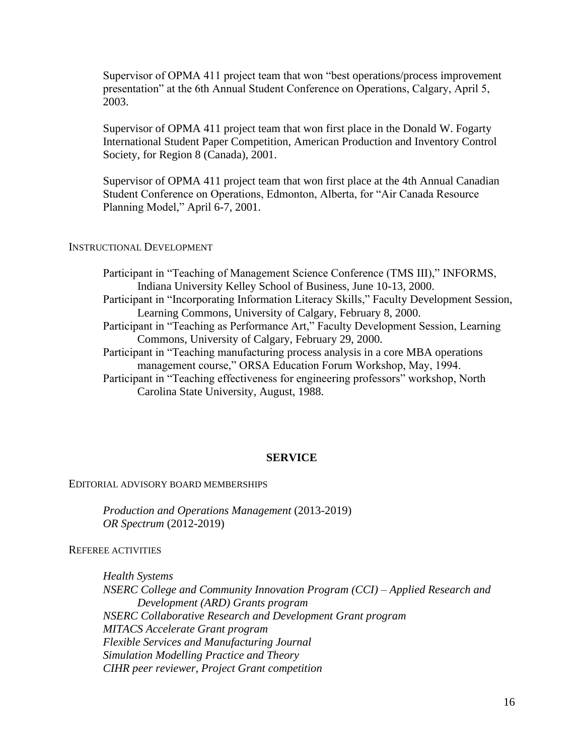Supervisor of OPMA 411 project team that won "best operations/process improvement presentation" at the 6th Annual Student Conference on Operations, Calgary, April 5, 2003.

Supervisor of OPMA 411 project team that won first place in the Donald W. Fogarty International Student Paper Competition, American Production and Inventory Control Society, for Region 8 (Canada), 2001.

Supervisor of OPMA 411 project team that won first place at the 4th Annual Canadian Student Conference on Operations, Edmonton, Alberta, for "Air Canada Resource Planning Model," April 6-7, 2001.

# INSTRUCTIONAL DEVELOPMENT

Participant in "Teaching of Management Science Conference (TMS III)," INFORMS, Indiana University Kelley School of Business, June 10-13, 2000. Participant in "Incorporating Information Literacy Skills," Faculty Development Session, Learning Commons, University of Calgary, February 8, 2000. Participant in "Teaching as Performance Art," Faculty Development Session, Learning Commons, University of Calgary, February 29, 2000. Participant in "Teaching manufacturing process analysis in a core MBA operations management course," ORSA Education Forum Workshop, May, 1994. Participant in "Teaching effectiveness for engineering professors" workshop, North Carolina State University, August, 1988.

## **SERVICE**

### EDITORIAL ADVISORY BOARD MEMBERSHIPS

*Production and Operations Management* (2013-2019) *OR Spectrum* (2012-2019)

REFEREE ACTIVITIES

*Health Systems NSERC College and Community Innovation Program (CCI) – Applied Research and Development (ARD) Grants program NSERC Collaborative Research and Development Grant program MITACS Accelerate Grant program Flexible Services and Manufacturing Journal Simulation Modelling Practice and Theory CIHR peer reviewer, Project Grant competition*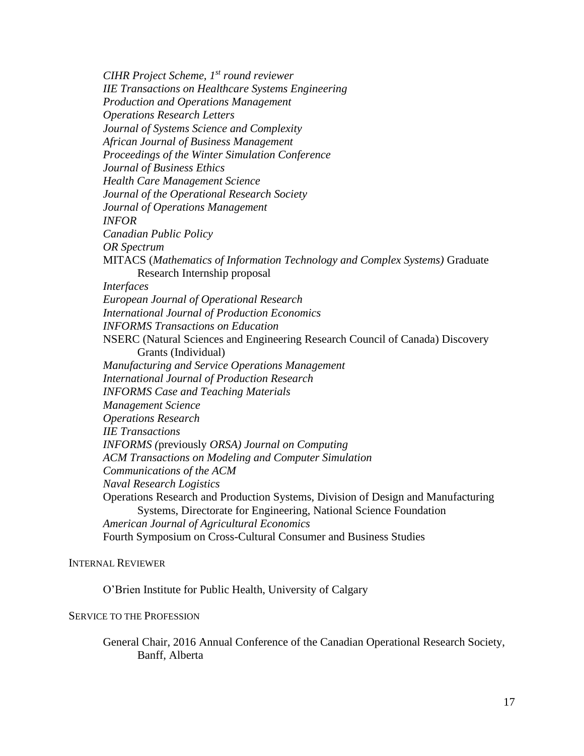*CIHR Project Scheme, 1st round reviewer IIE Transactions on Healthcare Systems Engineering Production and Operations Management Operations Research Letters Journal of Systems Science and Complexity African Journal of Business Management Proceedings of the Winter Simulation Conference Journal of Business Ethics Health Care Management Science Journal of the Operational Research Society Journal of Operations Management INFOR Canadian Public Policy OR Spectrum* MITACS (*Mathematics of Information Technology and Complex Systems)* Graduate Research Internship proposal *Interfaces European Journal of Operational Research International Journal of Production Economics INFORMS Transactions on Education* NSERC (Natural Sciences and Engineering Research Council of Canada) Discovery Grants (Individual) *Manufacturing and Service Operations Management International Journal of Production Research INFORMS Case and Teaching Materials Management Science Operations Research IIE Transactions INFORMS (*previously *ORSA) Journal on Computing ACM Transactions on Modeling and Computer Simulation Communications of the ACM Naval Research Logistics* Operations Research and Production Systems, Division of Design and Manufacturing Systems, Directorate for Engineering, National Science Foundation *American Journal of Agricultural Economics* Fourth Symposium on Cross-Cultural Consumer and Business Studies

## INTERNAL REVIEWER

O'Brien Institute for Public Health, University of Calgary

## SERVICE TO THE PROFESSION

General Chair, 2016 Annual Conference of the Canadian Operational Research Society, Banff, Alberta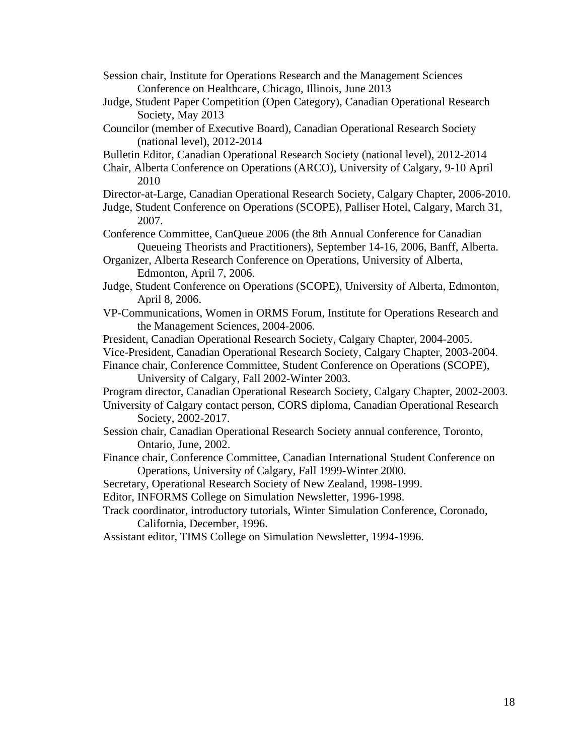Session chair, Institute for Operations Research and the Management Sciences Conference on Healthcare, Chicago, Illinois, June 2013

- Judge, Student Paper Competition (Open Category), Canadian Operational Research Society, May 2013
- Councilor (member of Executive Board), Canadian Operational Research Society (national level), 2012-2014

Bulletin Editor, Canadian Operational Research Society (national level), 2012-2014

Chair, Alberta Conference on Operations (ARCO), University of Calgary, 9-10 April 2010

Director-at-Large, Canadian Operational Research Society, Calgary Chapter, 2006-2010.

Judge, Student Conference on Operations (SCOPE), Palliser Hotel, Calgary, March 31, 2007.

Conference Committee, CanQueue 2006 (the 8th Annual Conference for Canadian Queueing Theorists and Practitioners), September 14-16, 2006, Banff, Alberta.

Organizer, Alberta Research Conference on Operations, University of Alberta, Edmonton, April 7, 2006.

Judge, Student Conference on Operations (SCOPE), University of Alberta, Edmonton, April 8, 2006.

VP-Communications, Women in ORMS Forum, Institute for Operations Research and the Management Sciences, 2004-2006.

President, Canadian Operational Research Society, Calgary Chapter, 2004-2005.

Vice-President, Canadian Operational Research Society, Calgary Chapter, 2003-2004.

Finance chair, Conference Committee, Student Conference on Operations (SCOPE), University of Calgary, Fall 2002-Winter 2003.

Program director, Canadian Operational Research Society, Calgary Chapter, 2002-2003.

University of Calgary contact person, CORS diploma, Canadian Operational Research Society, 2002-2017.

- Session chair, Canadian Operational Research Society annual conference, Toronto, Ontario, June, 2002.
- Finance chair, Conference Committee, Canadian International Student Conference on Operations, University of Calgary, Fall 1999-Winter 2000.

Secretary, Operational Research Society of New Zealand, 1998-1999.

Editor, INFORMS College on Simulation Newsletter, 1996-1998.

Track coordinator, introductory tutorials, Winter Simulation Conference, Coronado, California, December, 1996.

Assistant editor, TIMS College on Simulation Newsletter, 1994-1996.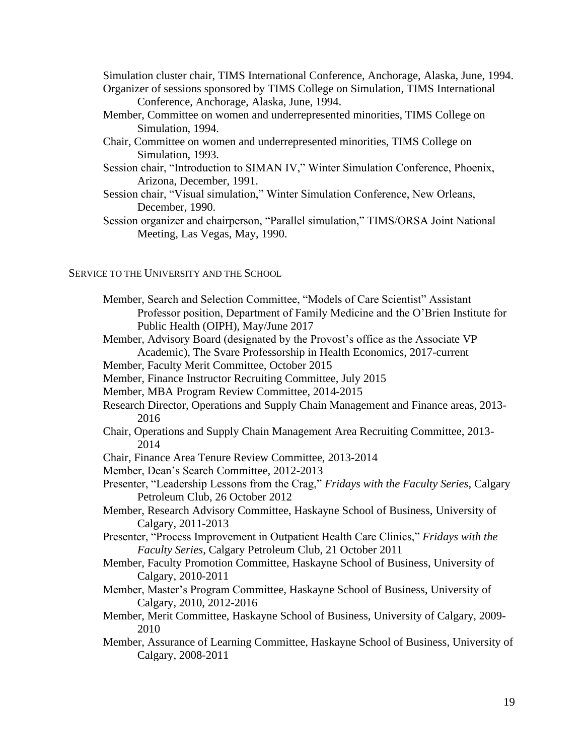Simulation cluster chair, TIMS International Conference, Anchorage, Alaska, June, 1994. Organizer of sessions sponsored by TIMS College on Simulation, TIMS International

Conference, Anchorage, Alaska, June, 1994.

- Member, Committee on women and underrepresented minorities, TIMS College on Simulation, 1994.
- Chair, Committee on women and underrepresented minorities, TIMS College on Simulation, 1993.
- Session chair, "Introduction to SIMAN IV," Winter Simulation Conference, Phoenix, Arizona, December, 1991.
- Session chair, "Visual simulation," Winter Simulation Conference, New Orleans, December, 1990.
- Session organizer and chairperson, "Parallel simulation," TIMS/ORSA Joint National Meeting, Las Vegas, May, 1990.

# SERVICE TO THE UNIVERSITY AND THE SCHOOL

- Member, Search and Selection Committee, "Models of Care Scientist" Assistant Professor position, Department of Family Medicine and the O'Brien Institute for Public Health (OIPH), May/June 2017
- Member, Advisory Board (designated by the Provost's office as the Associate VP Academic), The Svare Professorship in Health Economics, 2017-current

Member, Faculty Merit Committee, October 2015

- Member, Finance Instructor Recruiting Committee, July 2015
- Member, MBA Program Review Committee, 2014-2015
- Research Director, Operations and Supply Chain Management and Finance areas, 2013- 2016
- Chair, Operations and Supply Chain Management Area Recruiting Committee, 2013- 2014
- Chair, Finance Area Tenure Review Committee, 2013-2014
- Member, Dean's Search Committee, 2012-2013
- Presenter, "Leadership Lessons from the Crag," *Fridays with the Faculty Series*, Calgary Petroleum Club, 26 October 2012
- Member, Research Advisory Committee, Haskayne School of Business, University of Calgary, 2011-2013
- Presenter, "Process Improvement in Outpatient Health Care Clinics," *Fridays with the Faculty Series*, Calgary Petroleum Club, 21 October 2011
- Member, Faculty Promotion Committee, Haskayne School of Business, University of Calgary, 2010-2011
- Member, Master's Program Committee, Haskayne School of Business, University of Calgary, 2010, 2012-2016
- Member, Merit Committee, Haskayne School of Business, University of Calgary, 2009- 2010
- Member, Assurance of Learning Committee, Haskayne School of Business, University of Calgary, 2008-2011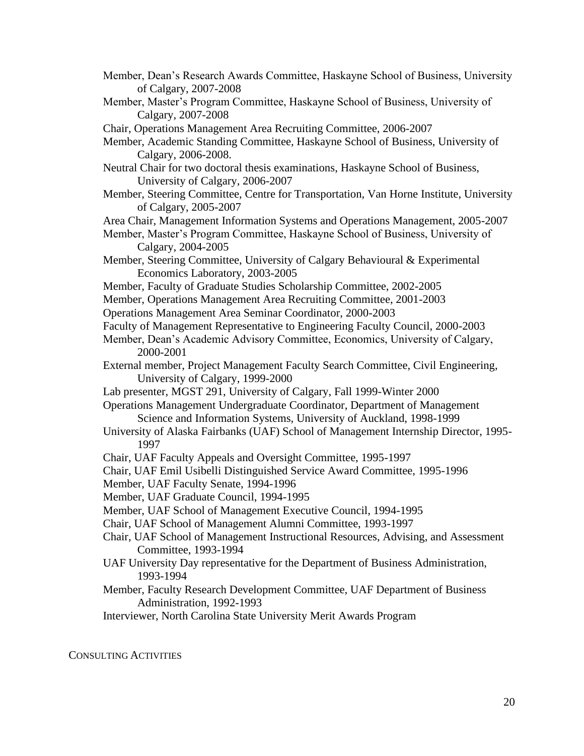- Member, Dean's Research Awards Committee, Haskayne School of Business, University of Calgary, 2007-2008
- Member, Master's Program Committee, Haskayne School of Business, University of Calgary, 2007-2008
- Chair, Operations Management Area Recruiting Committee, 2006-2007

Member, Academic Standing Committee, Haskayne School of Business, University of Calgary, 2006-2008.

- Neutral Chair for two doctoral thesis examinations, Haskayne School of Business, University of Calgary, 2006-2007
- Member, Steering Committee, Centre for Transportation, Van Horne Institute, University of Calgary, 2005-2007
- Area Chair, Management Information Systems and Operations Management, 2005-2007
- Member, Master's Program Committee, Haskayne School of Business, University of Calgary, 2004-2005
- Member, Steering Committee, University of Calgary Behavioural & Experimental Economics Laboratory, 2003-2005
- Member, Faculty of Graduate Studies Scholarship Committee, 2002-2005
- Member, Operations Management Area Recruiting Committee, 2001-2003
- Operations Management Area Seminar Coordinator, 2000-2003
- Faculty of Management Representative to Engineering Faculty Council, 2000-2003

Member, Dean's Academic Advisory Committee, Economics, University of Calgary, 2000-2001

- External member, Project Management Faculty Search Committee, Civil Engineering, University of Calgary, 1999-2000
- Lab presenter, MGST 291, University of Calgary, Fall 1999-Winter 2000
- Operations Management Undergraduate Coordinator, Department of Management Science and Information Systems, University of Auckland, 1998-1999
- University of Alaska Fairbanks (UAF) School of Management Internship Director, 1995- 1997
- Chair, UAF Faculty Appeals and Oversight Committee, 1995-1997
- Chair, UAF Emil Usibelli Distinguished Service Award Committee, 1995-1996
- Member, UAF Faculty Senate, 1994-1996

Member, UAF Graduate Council, 1994-1995

- Member, UAF School of Management Executive Council, 1994-1995
- Chair, UAF School of Management Alumni Committee, 1993-1997
- Chair, UAF School of Management Instructional Resources, Advising, and Assessment Committee, 1993-1994
- UAF University Day representative for the Department of Business Administration, 1993-1994
- Member, Faculty Research Development Committee, UAF Department of Business Administration, 1992-1993

Interviewer, North Carolina State University Merit Awards Program

CONSULTING ACTIVITIES